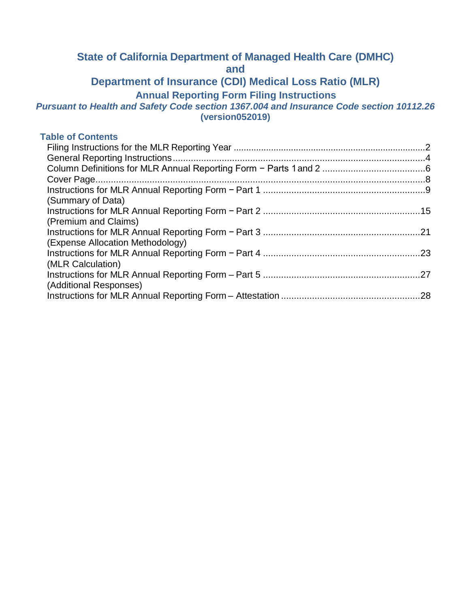# **State of California Department of Managed Health Care (DMHC)**

**and** 

# **Department of Insurance (CDI) Medical Loss Ratio (MLR)**

**Annual Reporting Form Filing Instructions** 

#### *Pursuant to Health and Safety Code section 1367.004 and Insurance Code section [10112.26](https://10112.26)*  **(version052019)**

#### **Table of Contents**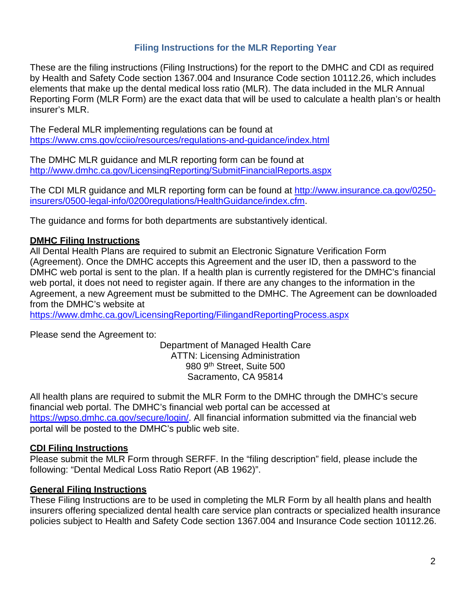# **Filing Instructions for the MLR Reporting Year**

 elements that make up the dental medical loss ratio (MLR). The data included in the MLR Annual insurer's MLR. These are the filing instructions (Filing Instructions) for the report to the DMHC and CDI as required by Health and Safety Code section 1367.004 and Insurance Code section [10112.26](https://10112.26), which includes Reporting Form (MLR Form) are the exact data that will be used to calculate a health plan's or health

 The Federal MLR implementing regulations can be found at <https://www.cms.gov/cciio/resources/regulations-and-guidance/index.html>

The DMHC MLR guidance and MLR reporting form can be found at <http://www.dmhc.ca.gov/LicensingReporting/SubmitFinancialReports.aspx>

The CDI MLR guidance and MLR reporting form can be found at<http://www.insurance.ca.gov/0250>insurers/0500-legal-info/0200regulations/HealthGuidance/index.cfm.

The guidance and forms for both departments are substantively identical.

# **DMHC Filing Instructions**

 DMHC web portal is sent to the plan. If a health plan is currently registered for the DMHC's financial web portal, it does not need to register again. If there are any changes to the information in the Agreement, a new Agreement must be submitted to the DMHC. The Agreement can be downloaded All Dental Health Plans are required to submit an Electronic Signature Verification Form (Agreement). Once the DMHC accepts this Agreement and the user ID, then a password to the from the DMHC's website at

<https://www.dmhc.ca.gov/LicensingReporting/FilingandReportingProcess.aspx>

Please send the Agreement to:

Department of Managed Health Care ATTN: Licensing Administration 980 9<sup>th</sup> Street, Suite 500 Sacramento, CA 95814

 All health plans are required to submit the MLR Form to the DMHC through the DMHC's secure financial web portal. The DMHC's financial web portal can be accessed at [https://wpso.dmhc.ca.gov/secure/login/](https://wpso.dmhc.ca.gov/secure/login). All financial information submitted via the financial web portal will be posted to the DMHC's public web site.

# **CDI Filing Instructions**

 Please submit the MLR Form through SERFF. In the "filing description" field, please include the following: "Dental Medical Loss Ratio Report (AB 1962)".

# **General Filing Instructions**

These Filing Instructions are to be used in completing the MLR Form by all health plans and health insurers offering specialized dental health care service plan contracts or specialized health insurance policies subject to Health and Safety Code section 1367.004 and Insurance Code section [10112.26.](https://10112.26)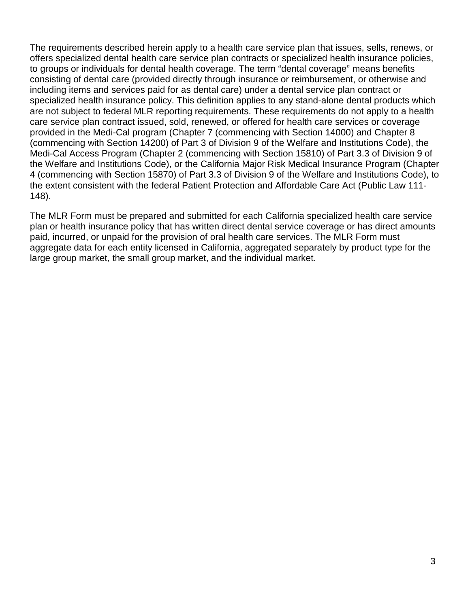the extent consistent with the federal Patient Protection and Affordable Care Act (Public Law 111- The requirements described herein apply to a health care service plan that issues, sells, renews, or offers specialized dental health care service plan contracts or specialized health insurance policies, to groups or individuals for dental health coverage. The term "dental coverage" means benefits consisting of dental care (provided directly through insurance or reimbursement, or otherwise and including items and services paid for as dental care) under a dental service plan contract or specialized health insurance policy. This definition applies to any stand-alone dental products which are not subject to federal MLR reporting requirements. These requirements do not apply to a health care service plan contract issued, sold, renewed, or offered for health care services or coverage provided in the Medi-Cal program (Chapter 7 (commencing with Section 14000) and Chapter 8 (commencing with Section 14200) of Part 3 of Division 9 of the Welfare and Institutions Code), the Medi-Cal Access Program (Chapter 2 (commencing with Section 15810) of Part 3.3 of Division 9 of the Welfare and Institutions Code), or the California Major Risk Medical Insurance Program (Chapter 4 (commencing with Section 15870) of Part 3.3 of Division 9 of the Welfare and Institutions Code), to 148).

 The MLR Form must be prepared and submitted for each California specialized health care service plan or health insurance policy that has written direct dental service coverage or has direct amounts paid, incurred, or unpaid for the provision of oral health care services. The MLR Form must aggregate data for each entity licensed in California, aggregated separately by product type for the large group market, the small group market, and the individual market.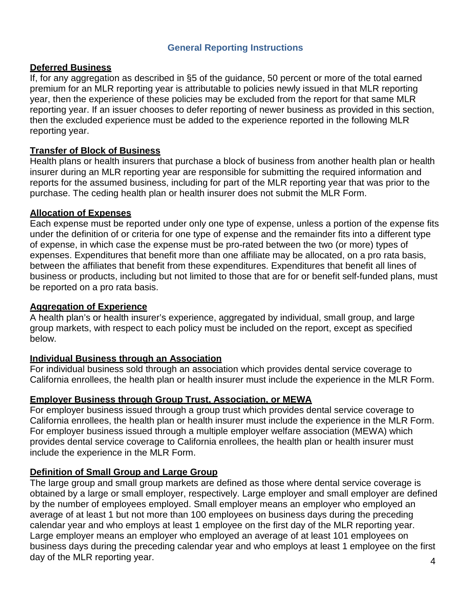# **General Reporting Instructions**

#### **Deferred Business**

 If, for any aggregation as described in §5 of the guidance, 50 percent or more of the total earned premium for an MLR reporting year is attributable to policies newly issued in that MLR reporting year, then the experience of these policies may be excluded from the report for that same MLR reporting year. If an issuer chooses to defer reporting of newer business as provided in this section, then the excluded experience must be added to the experience reported in the following MLR reporting year.

### **Transfer of Block of Business**

 Health plans or health insurers that purchase a block of business from another health plan or health reports for the assumed business, including for part of the MLR reporting year that was prior to the purchase. The ceding health plan or health insurer does not submit the MLR Form. insurer during an MLR reporting year are responsible for submitting the required information and

### **Allocation of Expenses**

 business or products, including but not limited to those that are for or benefit self-funded plans, must Each expense must be reported under only one type of expense, unless a portion of the expense fits under the definition of or criteria for one type of expense and the remainder fits into a different type of expense, in which case the expense must be pro-rated between the two (or more) types of expenses. Expenditures that benefit more than one affiliate may be allocated, on a pro rata basis, between the affiliates that benefit from these expenditures. Expenditures that benefit all lines of be reported on a pro rata basis.

#### **Aggregation of Experience**

 group markets, with respect to each policy must be included on the report, except as specified A health plan's or health insurer's experience, aggregated by individual, small group, and large below.

#### **Individual Business through an Association**

For individual business sold through an association which provides dental service coverage to California enrollees, the health plan or health insurer must include the experience in the MLR Form.

#### **Employer Business through Group Trust, Association, or MEWA**

For employer business issued through a group trust which provides dental service coverage to California enrollees, the health plan or health insurer must include the experience in the MLR Form. For employer business issued through a multiple employer welfare association (MEWA) which provides dental service coverage to California enrollees, the health plan or health insurer must include the experience in the MLR Form.

# **Definition of Small Group and Large Group**

 average of at least 1 but not more than 100 employees on business days during the preceding day of the MLR reporting year.  $\frac{4}{3}$ The large group and small group markets are defined as those where dental service coverage is obtained by a large or small employer, respectively. Large employer and small employer are defined by the number of employees employed. Small employer means an employer who employed an calendar year and who employs at least 1 employee on the first day of the MLR reporting year. Large employer means an employer who employed an average of at least 101 employees on business days during the preceding calendar year and who employs at least 1 employee on the first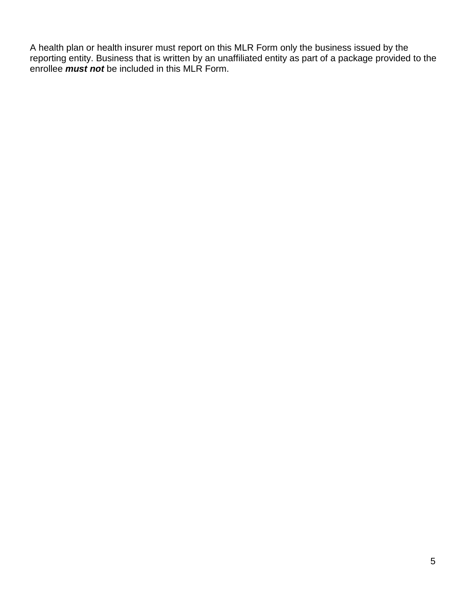A health plan or health insurer must report on this MLR Form only the business issued by the reporting entity. Business that is written by an unaffiliated entity as part of a package provided to the enrollee *must not* be included in this MLR Form.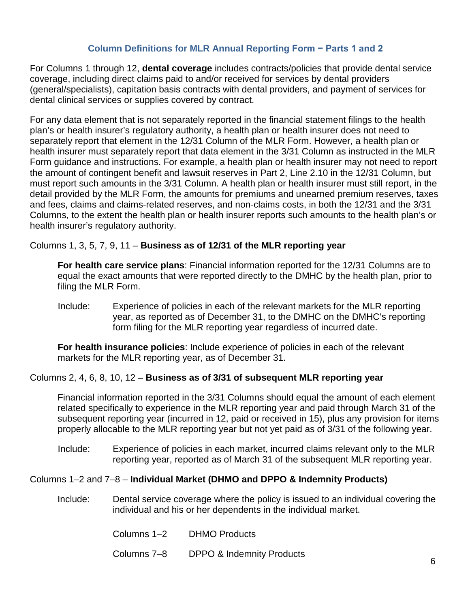## **Column Definitions for MLR Annual Reporting Form − Parts 1 and 2**

 (general/specialists), capitation basis contracts with dental providers, and payment of services for For Columns 1 through 12, **dental coverage** includes contracts/policies that provide dental service coverage, including direct claims paid to and/or received for services by dental providers dental clinical services or supplies covered by contract.

 For any data element that is not separately reported in the financial statement filings to the health detail provided by the MLR Form, the amounts for premiums and unearned premium reserves, taxes plan's or health insurer's regulatory authority, a health plan or health insurer does not need to separately report that element in the 12/31 Column of the MLR Form. However, a health plan or health insurer must separately report that data element in the 3/31 Column as instructed in the MLR Form guidance and instructions. For example, a health plan or health insurer may not need to report the amount of contingent benefit and lawsuit reserves in Part 2, Line 2.10 in the 12/31 Column, but must report such amounts in the 3/31 Column. A health plan or health insurer must still report, in the and fees, claims and claims-related reserves, and non-claims costs, in both the 12/31 and the 3/31 Columns, to the extent the health plan or health insurer reports such amounts to the health plan's or health insurer's regulatory authority.

### Columns 1, 3, 5, 7, 9, 11 – **Business as of 12/31 of the MLR reporting year**

 equal the exact amounts that were reported directly to the DMHC by the health plan, prior to **For health care service plans**: Financial information reported for the 12/31 Columns are to filing the MLR Form.

 Include: Experience of policies in each of the relevant markets for the MLR reporting form filing for the MLR reporting year regardless of incurred date. year, as reported as of December 31, to the DMHC on the DMHC's reporting

**For health insurance policies**: Include experience of policies in each of the relevant markets for the MLR reporting year, as of December 31.

### Columns 2, 4, 6, 8, 10, 12 – **Business as of 3/31 of subsequent MLR reporting year**

Financial information reported in the 3/31 Columns should equal the amount of each element related specifically to experience in the MLR reporting year and paid through March 31 of the subsequent reporting year (incurred in 12, paid or received in 15), plus any provision for items properly allocable to the MLR reporting year but not yet paid as of 3/31 of the following year.

 Include: Experience of policies in each market, incurred claims relevant only to the MLR reporting year, reported as of March 31 of the subsequent MLR reporting year.

# Columns 1–2 and 7–8 – **Individual Market (DHMO and DPPO & Indemnity Products)**

- Include: Dental service coverage where the policy is issued to an individual covering the individual and his or her dependents in the individual market.
	- Columns 1–2 DHMO Products
	- Columns 7–8 DPPO & Indemnity Products 6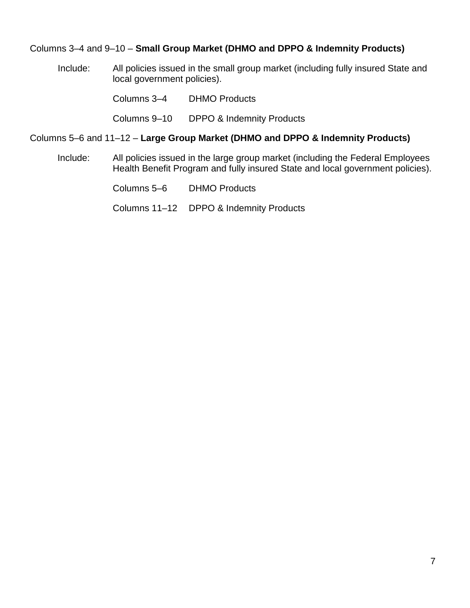### Columns 3–4 and 9–10 – **Small Group Market (DHMO and DPPO & Indemnity Products)**

Include: All policies issued in the small group market (including fully insured State and local government policies).

Columns 3–4 DHMO Products

Columns 9–10 DPPO & Indemnity Products

#### Columns 5–6 and 11–12 – **Large Group Market (DHMO and DPPO & Indemnity Products)**

Include: All policies issued in the large group market (including the Federal Employees Health Benefit Program and fully insured State and local government policies).

Columns 5–6 DHMO Products

Columns 11–12 DPPO & Indemnity Products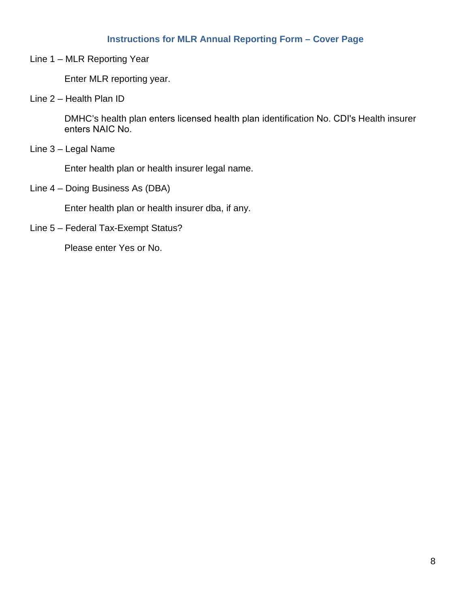# **Instructions for MLR Annual Reporting Form – Cover Page**

Line 1 – MLR Reporting Year

Enter MLR reporting year.

Line 2 – Health Plan ID

DMHC's health plan enters licensed health plan identification No. CDI's Health insurer enters NAIC No.

Line 3 – Legal Name

Enter health plan or health insurer legal name.

Line 4 – Doing Business As (DBA)

Enter health plan or health insurer dba, if any.

Line 5 – Federal Tax-Exempt Status?

Please enter Yes or No.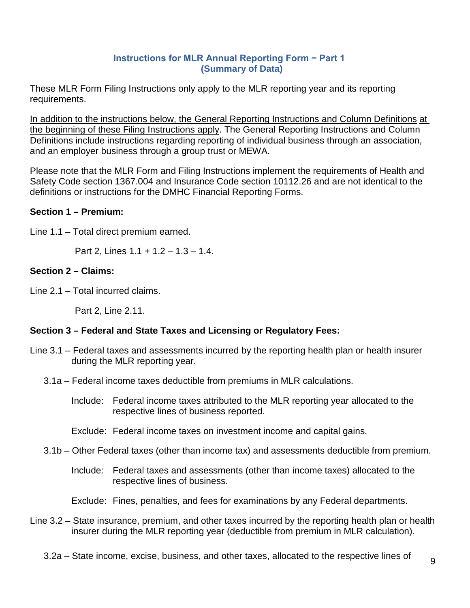### **Instructions for MLR Annual Reporting Form − Part 1 (Summary of Data)**

These MLR Form Filing Instructions only apply to the MLR reporting year and its reporting requirements.

In addition to the instructions below, the General Reporting Instructions and Column Definitions at the beginning of these Filing Instructions apply. The General Reporting Instructions and Column Definitions include instructions regarding reporting of individual business through an association, and an employer business through a group trust or MEWA.

Please note that the MLR Form and Filing Instructions implement the requirements of Health and Safety Code section 1367.004 and Insurance Code section [10112.26](https://10112.26) and are not identical to the definitions or instructions for the DMHC Financial Reporting Forms.

# **Section 1 – Premium:**

Line 1.1 – Total direct premium earned.

Part 2, Lines 1.1 + 1.2 – 1.3 – 1.4.

# **Section 2 – Claims:**

Line 2.1 – Total incurred claims.

Part 2, Line 2.11.

# **Section 3 – Federal and State Taxes and Licensing or Regulatory Fees:**

- Line 3.1 Federal taxes and assessments incurred by the reporting health plan or health insurer during the MLR reporting year.
	- 3.1a Federal income taxes deductible from premiums in MLR calculations.

Include: Federal income taxes attributed to the MLR reporting year allocated to the respective lines of business reported.

Exclude: Federal income taxes on investment income and capital gains.

- 3.1b Other Federal taxes (other than income tax) and assessments deductible from premium.
	- Include: Federal taxes and assessments (other than income taxes) allocated to the respective lines of business.

Exclude: Fines, penalties, and fees for examinations by any Federal departments.

Line 3.2 – State insurance, premium, and other taxes incurred by the reporting health plan or health insurer during the MLR reporting year (deductible from premium in MLR calculation).

3.2a – State income, excise, business, and other taxes, allocated to the respective lines of  $\overline{9}$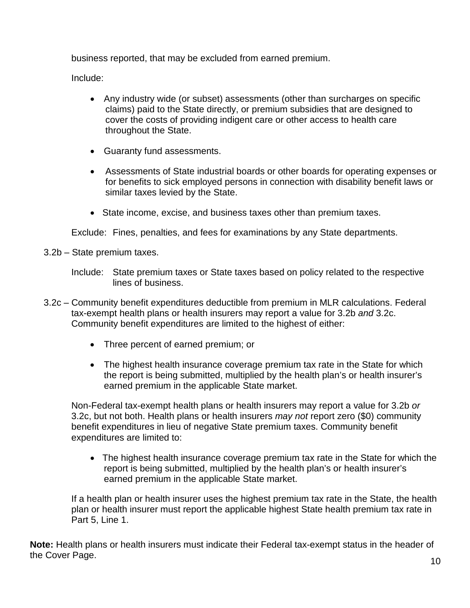business reported, that may be excluded from earned premium.

Include:

- claims) paid to the State directly, or premium subsidies that are designed to • Any industry wide (or subset) assessments (other than surcharges on specific cover the costs of providing indigent care or other access to health care throughout the State.
- Guaranty fund assessments.
- • Assessments of State industrial boards or other boards for operating expenses or for benefits to sick employed persons in connection with disability benefit laws or similar taxes levied by the State.
- State income, excise, and business taxes other than premium taxes.

Exclude: Fines, penalties, and fees for examinations by any State departments.

3.2b – State premium taxes.

- 3.2c Community benefit expenditures deductible from premium in MLR calculations. Federal tax-exempt health plans or health insurers may report a value for 3.2b *and* 3.2c. Community benefit expenditures are limited to the highest of either:
	- Three percent of earned premium; or
	- The highest health insurance coverage premium tax rate in the State for which the report is being submitted, multiplied by the health plan's or health insurer's earned premium in the applicable State market.

Non-Federal tax-exempt health plans or health insurers may report a value for 3.2b *or*  3.2c, but not both. Health plans or health insurers *may not* report zero (\$0) community benefit expenditures in lieu of negative State premium taxes. Community benefit expenditures are limited to:

• The highest health insurance coverage premium tax rate in the State for which the report is being submitted, multiplied by the health plan's or health insurer's earned premium in the applicable State market.

 plan or health insurer must report the applicable highest State health premium tax rate in If a health plan or health insurer uses the highest premium tax rate in the State, the health Part 5, Line 1.

**Note:** Health plans or health insurers must indicate their Federal tax-exempt status in the header of the Cover Page. 10

Include: State premium taxes or State taxes based on policy related to the respective lines of business.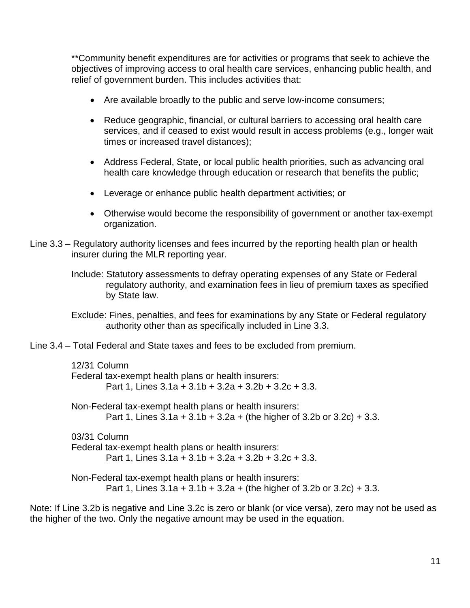\*\*Community benefit expenditures are for activities or programs that seek to achieve the relief of government burden. This includes activities that: objectives of improving access to oral health care services, enhancing public health, and

- Are available broadly to the public and serve low-income consumers;
- Reduce geographic, financial, or cultural barriers to accessing oral health care services, and if ceased to exist would result in access problems (e.g., longer wait times or increased travel distances);
- Address Federal, State, or local public health priorities, such as advancing oral health care knowledge through education or research that benefits the public;
- Leverage or enhance public health department activities; or
- Otherwise would become the responsibility of government or another tax-exempt organization.
- Line 3.3 Regulatory authority licenses and fees incurred by the reporting health plan or health insurer during the MLR reporting year.
	- Include: Statutory assessments to defray operating expenses of any State or Federal regulatory authority, and examination fees in lieu of premium taxes as specified by State law.
	- authority other than as specifically included in Line 3.3. Exclude: Fines, penalties, and fees for examinations by any State or Federal regulatory
- Line 3.4 Total Federal and State taxes and fees to be excluded from premium.

12/31 Column Federal tax-exempt health plans or health insurers: Part 1, Lines 3.1a + 3.1b + 3.2a + 3.2b + 3.2c + 3.3. Non-Federal tax-exempt health plans or health insurers: Part 1, Lines  $3.1a + 3.1b + 3.2a +$  (the higher of  $3.2b$  or  $3.2c$ ) +  $3.3$ . 03/31 Column Federal tax-exempt health plans or health insurers: Part 1, Lines 3.1a + 3.1b + 3.2a + 3.2b + 3.2c + 3.3. Non-Federal tax-exempt health plans or health insurers:

Part 1, Lines  $3.1a + 3.1b + 3.2a +$  (the higher of  $3.2b$  or  $3.2c$ ) +  $3.3$ .

 the higher of the two. Only the negative amount may be used in the equation. Note: If Line 3.2b is negative and Line 3.2c is zero or blank (or vice versa), zero may not be used as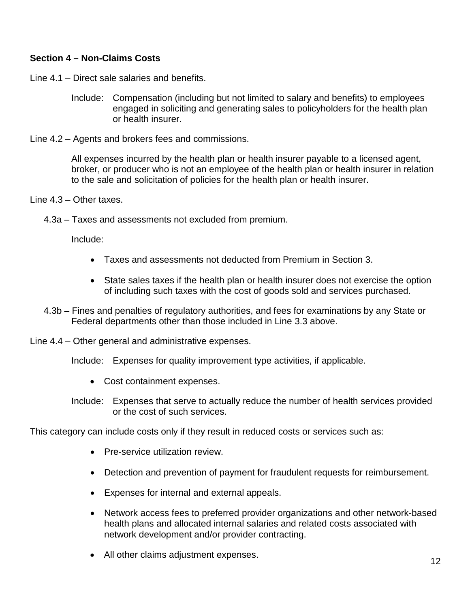# **Section 4 – Non-Claims Costs**

Line 4.1 – Direct sale salaries and benefits.

- Include: Compensation (including but not limited to salary and benefits) to employees engaged in soliciting and generating sales to policyholders for the health plan or health insurer.
- Line 4.2 Agents and brokers fees and commissions.

All expenses incurred by the health plan or health insurer payable to a licensed agent, broker, or producer who is not an employee of the health plan or health insurer in relation to the sale and solicitation of policies for the health plan or health insurer.

- Line 4.3 Other taxes.
	- 4.3a Taxes and assessments not excluded from premium.

Include:

- Taxes and assessments not deducted from Premium in Section 3.
- State sales taxes if the health plan or health insurer does not exercise the option of including such taxes with the cost of goods sold and services purchased.
- 4.3b Fines and penalties of regulatory authorities, and fees for examinations by any State or Federal departments other than those included in Line 3.3 above.
- Line 4.4 Other general and administrative expenses.

Include: Expenses for quality improvement type activities, if applicable.

- Cost containment expenses.
- Include: Expenses that serve to actually reduce the number of health services provided or the cost of such services.

This category can include costs only if they result in reduced costs or services such as:

- Pre-service utilization review.
- Detection and prevention of payment for fraudulent requests for reimbursement.
- Expenses for internal and external appeals.
- Network access fees to preferred provider organizations and other network-based health plans and allocated internal salaries and related costs associated with network development and/or provider contracting.
- All other claims adjustment expenses.<br>
12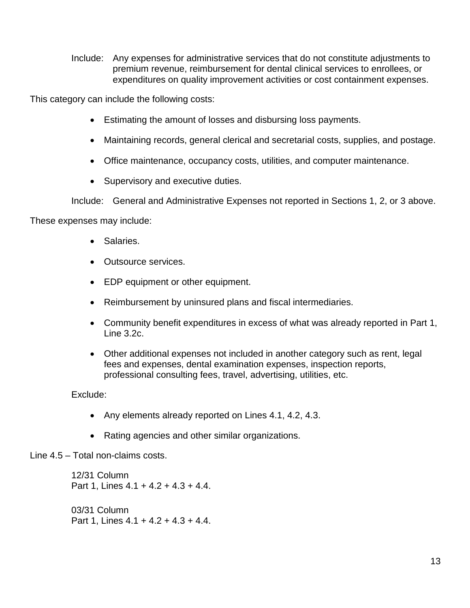Include: Any expenses for administrative services that do not constitute adjustments to premium revenue, reimbursement for dental clinical services to enrollees, or expenditures on quality improvement activities or cost containment expenses.

This category can include the following costs:

- Estimating the amount of losses and disbursing loss payments.
- Maintaining records, general clerical and secretarial costs, supplies, and postage.
- Office maintenance, occupancy costs, utilities, and computer maintenance.
- Supervisory and executive duties.

Include: General and Administrative Expenses not reported in Sections 1, 2, or 3 above.

These expenses may include:

- Salaries.
- Outsource services.
- EDP equipment or other equipment.
- Reimbursement by uninsured plans and fiscal intermediaries.
- • Community benefit expenditures in excess of what was already reported in Part 1, Line 3.2c.
- Other additional expenses not included in another category such as rent, legal fees and expenses, dental examination expenses, inspection reports, professional consulting fees, travel, advertising, utilities, etc.

Exclude:

- Any elements already reported on Lines 4.1, 4.2, 4.3.
- Rating agencies and other similar organizations.

#### Line 4.5 – Total non-claims costs.

12/31 Column Part 1, Lines 4.1 + 4.2 + 4.3 + 4.4. 03/31 Column Part 1, Lines 4.1 + 4.2 + 4.3 + 4.4.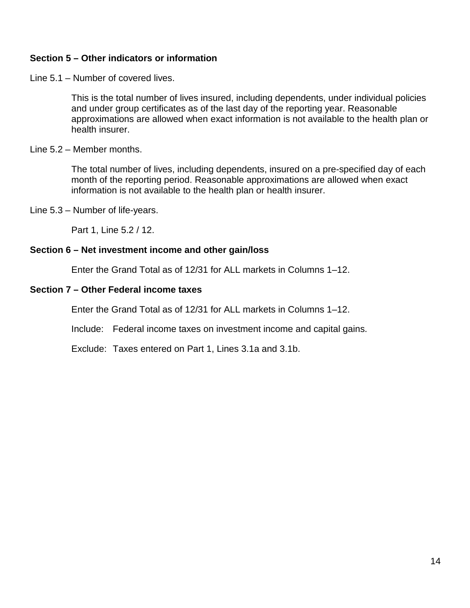### **Section 5 – Other indicators or information**

Line 5.1 – Number of covered lives.

This is the total number of lives insured, including dependents, under individual policies and under group certificates as of the last day of the reporting year. Reasonable approximations are allowed when exact information is not available to the health plan or health insurer.

### Line 5.2 – Member months.

The total number of lives, including dependents, insured on a pre-specified day of each month of the reporting period. Reasonable approximations are allowed when exact information is not available to the health plan or health insurer.

Line 5.3 – Number of life-years.

Part 1, Line 5.2 / 12.

#### **Section 6 – Net investment income and other gain/loss**

Enter the Grand Total as of 12/31 for ALL markets in Columns 1–12.

#### **Section 7 – Other Federal income taxes**

Enter the Grand Total as of 12/31 for ALL markets in Columns 1–12.

Include: Federal income taxes on investment income and capital gains.

Exclude: Taxes entered on Part 1, Lines 3.1a and 3.1b.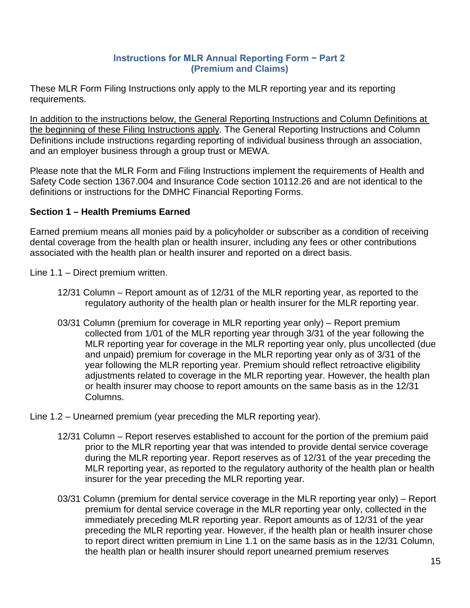### **Instructions for MLR Annual Reporting Form − Part 2 (Premium and Claims)**

These MLR Form Filing Instructions only apply to the MLR reporting year and its reporting requirements.

In addition to the instructions below, the General Reporting Instructions and Column Definitions at the beginning of these Filing Instructions apply. The General Reporting Instructions and Column Definitions include instructions regarding reporting of individual business through an association, and an employer business through a group trust or MEWA.

Please note that the MLR Form and Filing Instructions implement the requirements of Health and Safety Code section 1367.004 and Insurance Code section [10112.26](https://10112.26) and are not identical to the definitions or instructions for the DMHC Financial Reporting Forms.

# **Section 1 – Health Premiums Earned**

Earned premium means all monies paid by a policyholder or subscriber as a condition of receiving dental coverage from the health plan or health insurer, including any fees or other contributions associated with the health plan or health insurer and reported on a direct basis.

Line 1.1 – Direct premium written.

- 12/31 Column Report amount as of 12/31 of the MLR reporting year, as reported to the regulatory authority of the health plan or health insurer for the MLR reporting year.
- 03/31 Column (premium for coverage in MLR reporting year only) Report premium collected from 1/01 of the MLR reporting year through 3/31 of the year following the and unpaid) premium for coverage in the MLR reporting year only as of 3/31 of the MLR reporting year for coverage in the MLR reporting year only, plus uncollected (due year following the MLR reporting year. Premium should reflect retroactive eligibility adjustments related to coverage in the MLR reporting year. However, the health plan or health insurer may choose to report amounts on the same basis as in the 12/31 Columns.
- Line 1.2 Unearned premium (year preceding the MLR reporting year).
	- 12/31 Column Report reserves established to account for the portion of the premium paid prior to the MLR reporting year that was intended to provide dental service coverage during the MLR reporting year. Report reserves as of 12/31 of the year preceding the MLR reporting year, as reported to the regulatory authority of the health plan or health insurer for the year preceding the MLR reporting year.
	- 03/31 Column (premium for dental service coverage in the MLR reporting year only) Report immediately preceding MLR reporting year. Report amounts as of 12/31 of the year premium for dental service coverage in the MLR reporting year only, collected in the preceding the MLR reporting year. However, if the health plan or health insurer chose to report direct written premium in Line 1.1 on the same basis as in the 12/31 Column, the health plan or health insurer should report unearned premium reserves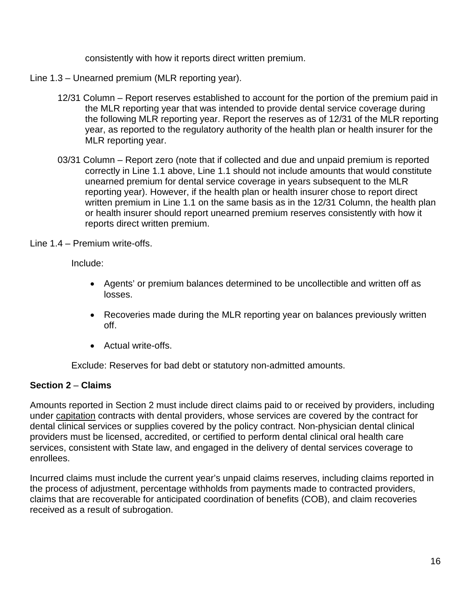consistently with how it reports direct written premium.

Line 1.3 – Unearned premium (MLR reporting year).

- 12/31 Column Report reserves established to account for the portion of the premium paid in the following MLR reporting year. Report the reserves as of 12/31 of the MLR reporting the MLR reporting year that was intended to provide dental service coverage during year, as reported to the regulatory authority of the health plan or health insurer for the MLR reporting year.
- 03/31 Column Report zero (note that if collected and due and unpaid premium is reported unearned premium for dental service coverage in years subsequent to the MLR reporting year). However, if the health plan or health insurer chose to report direct correctly in Line 1.1 above, Line 1.1 should not include amounts that would constitute written premium in Line 1.1 on the same basis as in the 12/31 Column, the health plan or health insurer should report unearned premium reserves consistently with how it reports direct written premium.

Line 1.4 – Premium write-offs.

Include:

- • Agents' or premium balances determined to be uncollectible and written off as losses.
- • Recoveries made during the MLR reporting year on balances previously written off.
- Actual write-offs.

Exclude: Reserves for bad debt or statutory non-admitted amounts.

# **Section 2** – **Claims**

under capitation contracts with dental providers, whose services are covered by the contract for Amounts reported in Section 2 must include direct claims paid to or received by providers, including dental clinical services or supplies covered by the policy contract. Non-physician dental clinical providers must be licensed, accredited, or certified to perform dental clinical oral health care services, consistent with State law, and engaged in the delivery of dental services coverage to enrollees.

Incurred claims must include the current year's unpaid claims reserves, including claims reported in the process of adjustment, percentage withholds from payments made to contracted providers, claims that are recoverable for anticipated coordination of benefits (COB), and claim recoveries received as a result of subrogation.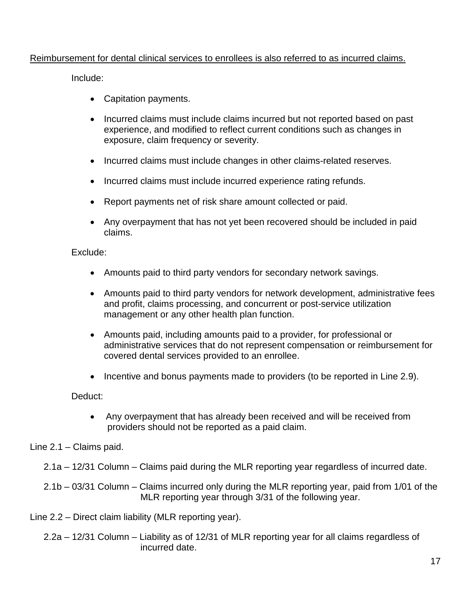#### Reimbursement for dental clinical services to enrollees is also referred to as incurred claims.

Include:

- Capitation payments.
- Incurred claims must include claims incurred but not reported based on past experience, and modified to reflect current conditions such as changes in exposure, claim frequency or severity.
- Incurred claims must include changes in other claims-related reserves.
- Incurred claims must include incurred experience rating refunds.
- Report payments net of risk share amount collected or paid.
- Any overpayment that has not yet been recovered should be included in paid claims.

Exclude:

- Amounts paid to third party vendors for secondary network savings.
- management or any other health plan function. • Amounts paid to third party vendors for network development, administrative fees and profit, claims processing, and concurrent or post-service utilization
- administrative services that do not represent compensation or reimbursement for • Amounts paid, including amounts paid to a provider, for professional or covered dental services provided to an enrollee.
- Incentive and bonus payments made to providers (to be reported in Line 2.9).

Deduct:

• Any overpayment that has already been received and will be received from providers should not be reported as a paid claim.

Line 2.1 – Claims paid.

- 2.1a 12/31 Column Claims paid during the MLR reporting year regardless of incurred date.
- 2.1b 03/31 Column Claims incurred only during the MLR reporting year, paid from 1/01 of the MLR reporting year through 3/31 of the following year.

Line 2.2 – Direct claim liability (MLR reporting year).

 2.2a – 12/31 Column – Liability as of 12/31 of MLR reporting year for all claims regardless of incurred date.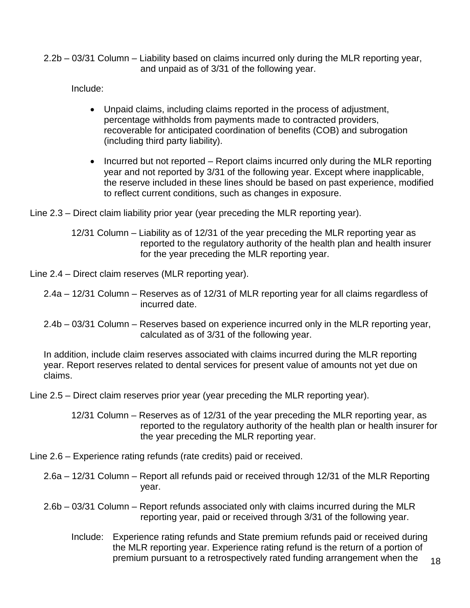2.2b – 03/31 Column – Liability based on claims incurred only during the MLR reporting year, and unpaid as of 3/31 of the following year.

Include:

- Unpaid claims, including claims reported in the process of adjustment, percentage withholds from payments made to contracted providers, recoverable for anticipated coordination of benefits (COB) and subrogation (including third party liability).
- Incurred but not reported Report claims incurred only during the MLR reporting year and not reported by 3/31 of the following year. Except where inapplicable, the reserve included in these lines should be based on past experience, modified to reflect current conditions, such as changes in exposure.

Line 2.3 – Direct claim liability prior year (year preceding the MLR reporting year).

 12/31 Column – Liability as of 12/31 of the year preceding the MLR reporting year as reported to the regulatory authority of the health plan and health insurer for the year preceding the MLR reporting year.

Line 2.4 – Direct claim reserves (MLR reporting year).

- 2.4a 12/31 Column Reserves as of 12/31 of MLR reporting year for all claims regardless of incurred date.
- 2.4b 03/31 Column Reserves based on experience incurred only in the MLR reporting year, calculated as of 3/31 of the following year.

In addition, include claim reserves associated with claims incurred during the MLR reporting year. Report reserves related to dental services for present value of amounts not yet due on claims.

Line 2.5 – Direct claim reserves prior year (year preceding the MLR reporting year).

 12/31 Column – Reserves as of 12/31 of the year preceding the MLR reporting year, as reported to the regulatory authority of the health plan or health insurer for the year preceding the MLR reporting year.

Line 2.6 – Experience rating refunds (rate credits) paid or received.

 2.6a – 12/31 Column – Report all refunds paid or received through 12/31 of the MLR Reporting year.

- 2.6b 03/31 Column Report refunds associated only with claims incurred during the MLR reporting year, paid or received through 3/31 of the following year.
	- the MLR reporting year. Experience rating refund is the return of a portion of Include: Experience rating refunds and State premium refunds paid or received during premium pursuant to a retrospectively rated funding arrangement when the  $18$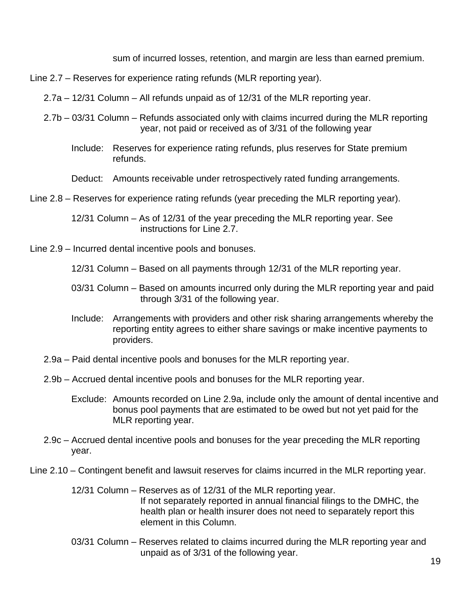sum of incurred losses, retention, and margin are less than earned premium.

Line 2.7 – Reserves for experience rating refunds (MLR reporting year).

- 2.7a 12/31 Column All refunds unpaid as of 12/31 of the MLR reporting year.
- 2.7b 03/31 Column Refunds associated only with claims incurred during the MLR reporting year, not paid or received as of 3/31 of the following year
	- Include: Reserves for experience rating refunds, plus reserves for State premium refunds.
	- Deduct: Amounts receivable under retrospectively rated funding arrangements.
- Line 2.8 Reserves for experience rating refunds (year preceding the MLR reporting year).

 12/31 Column – As of 12/31 of the year preceding the MLR reporting year. See instructions for Line 2.7.

- Line 2.9 Incurred dental incentive pools and bonuses.
	- 12/31 Column Based on all payments through 12/31 of the MLR reporting year.
	- 03/31 Column Based on amounts incurred only during the MLR reporting year and paid through 3/31 of the following year.
	- Include: Arrangements with providers and other risk sharing arrangements whereby the reporting entity agrees to either share savings or make incentive payments to providers.
	- 2.9a Paid dental incentive pools and bonuses for the MLR reporting year.
	- 2.9b Accrued dental incentive pools and bonuses for the MLR reporting year.
		- bonus pool payments that are estimated to be owed but not yet paid for the Exclude: Amounts recorded on Line 2.9a, include only the amount of dental incentive and MLR reporting year.
	- 2.9c Accrued dental incentive pools and bonuses for the year preceding the MLR reporting year.
- Line 2.10 Contingent benefit and lawsuit reserves for claims incurred in the MLR reporting year.
	- 12/31 Column Reserves as of 12/31 of the MLR reporting year. If not separately reported in annual financial filings to the DMHC, the health plan or health insurer does not need to separately report this element in this Column.
	- 03/31 Column Reserves related to claims incurred during the MLR reporting year and unpaid as of 3/31 of the following year.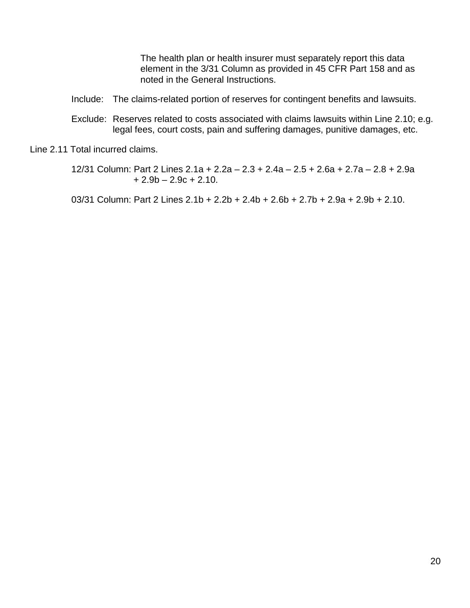The health plan or health insurer must separately report this data element in the 3/31 Column as provided in 45 CFR Part 158 and as noted in the General Instructions.

- Include: The claims-related portion of reserves for contingent benefits and lawsuits.
- Exclude: Reserves related to costs associated with claims lawsuits within Line 2.10; e.g. legal fees, court costs, pain and suffering damages, punitive damages, etc.

Line 2.11 Total incurred claims.

 12/31 Column: Part 2 Lines 2.1a + 2.2a – 2.3 + 2.4a – 2.5 + 2.6a + 2.7a – 2.8 + 2.9a  $+ 2.9b - 2.9c + 2.10.$ 

03/31 Column: Part 2 Lines 2.1b + 2.2b + 2.4b + 2.6b + 2.7b + 2.9a + 2.9b + 2.10.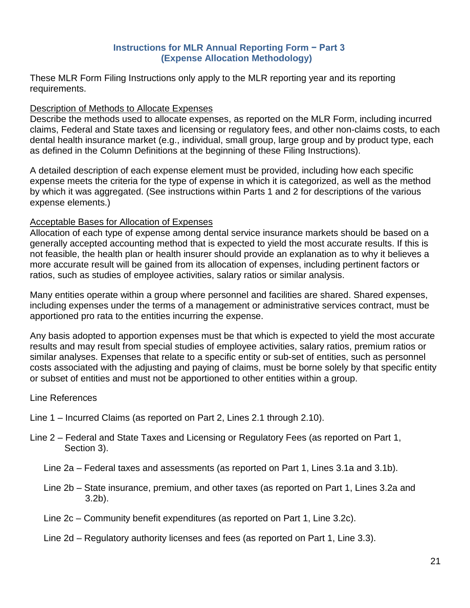# **Instructions for MLR Annual Reporting Form − Part 3 (Expense Allocation Methodology)**

These MLR Form Filing Instructions only apply to the MLR reporting year and its reporting requirements.

### Description of Methods to Allocate Expenses

 dental health insurance market (e.g., individual, small group, large group and by product type, each as defined in the Column Definitions at the beginning of these Filing Instructions). Describe the methods used to allocate expenses, as reported on the MLR Form, including incurred claims, Federal and State taxes and licensing or regulatory fees, and other non-claims costs, to each

A detailed description of each expense element must be provided, including how each specific expense meets the criteria for the type of expense in which it is categorized, as well as the method by which it was aggregated. (See instructions within Parts 1 and 2 for descriptions of the various expense elements.)

# Acceptable Bases for Allocation of Expenses

 generally accepted accounting method that is expected to yield the most accurate results. If this is more accurate result will be gained from its allocation of expenses, including pertinent factors or Allocation of each type of expense among dental service insurance markets should be based on a not feasible, the health plan or health insurer should provide an explanation as to why it believes a ratios, such as studies of employee activities, salary ratios or similar analysis.

Many entities operate within a group where personnel and facilities are shared. Shared expenses, including expenses under the terms of a management or administrative services contract, must be apportioned pro rata to the entities incurring the expense.

 results and may result from special studies of employee activities, salary ratios, premium ratios or Any basis adopted to apportion expenses must be that which is expected to yield the most accurate similar analyses. Expenses that relate to a specific entity or sub-set of entities, such as personnel costs associated with the adjusting and paying of claims, must be borne solely by that specific entity or subset of entities and must not be apportioned to other entities within a group.

# Line References

- Line 1 Incurred Claims (as reported on Part 2, Lines 2.1 through 2.10).
- Line 2 Federal and State Taxes and Licensing or Regulatory Fees (as reported on Part 1, Section 3).
	- Line 2a Federal taxes and assessments (as reported on Part 1, Lines 3.1a and 3.1b).
	- Line 2b State insurance, premium, and other taxes (as reported on Part 1, Lines 3.2a and 3.2b).
	- Line 2c Community benefit expenditures (as reported on Part 1, Line 3.2c).
	- Line 2d Regulatory authority licenses and fees (as reported on Part 1, Line 3.3).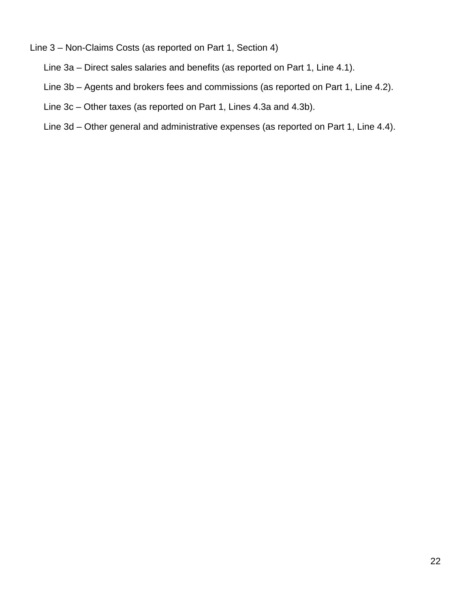# Line 3 – Non-Claims Costs (as reported on Part 1, Section 4)

- Line 3a Direct sales salaries and benefits (as reported on Part 1, Line 4.1).
- Line 3b Agents and brokers fees and commissions (as reported on Part 1, Line 4.2).
- Line 3c Other taxes (as reported on Part 1, Lines 4.3a and 4.3b).
- Line 3d Other general and administrative expenses (as reported on Part 1, Line 4.4).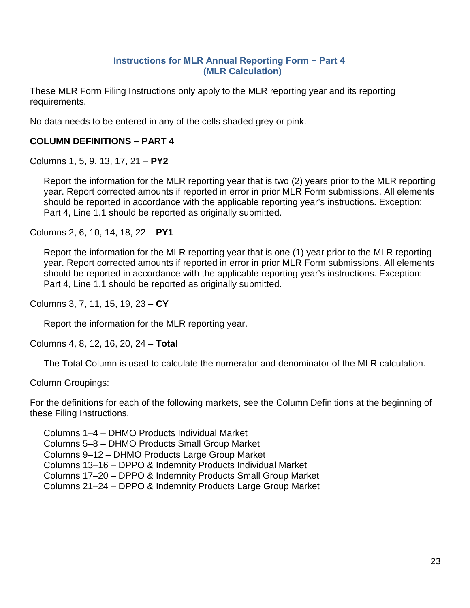#### **Instructions for MLR Annual Reporting Form − Part 4 (MLR Calculation)**

These MLR Form Filing Instructions only apply to the MLR reporting year and its reporting requirements.

No data needs to be entered in any of the cells shaded grey or pink.

# **COLUMN DEFINITIONS – PART 4**

Columns 1, 5, 9, 13, 17, 21 – **PY2** 

 year. Report corrected amounts if reported in error in prior MLR Form submissions. All elements Report the information for the MLR reporting year that is two (2) years prior to the MLR reporting should be reported in accordance with the applicable reporting year's instructions. Exception: Part 4, Line 1.1 should be reported as originally submitted.

Columns 2, 6, 10, 14, 18, 22 – **PY1** 

 year. Report corrected amounts if reported in error in prior MLR Form submissions. All elements Report the information for the MLR reporting year that is one (1) year prior to the MLR reporting should be reported in accordance with the applicable reporting year's instructions. Exception: Part 4, Line 1.1 should be reported as originally submitted.

Columns 3, 7, 11, 15, 19, 23 – **CY** 

Report the information for the MLR reporting year.

Columns 4, 8, 12, 16, 20, 24 – **Total** 

The Total Column is used to calculate the numerator and denominator of the MLR calculation.

Column Groupings:

 For the definitions for each of the following markets, see the Column Definitions at the beginning of these Filing Instructions.

 Columns 21–24 – DPPO & Indemnity Products Large Group Market Columns 1–4 – DHMO Products Individual Market Columns 5–8 – DHMO Products Small Group Market Columns 9–12 – DHMO Products Large Group Market Columns 13–16 – DPPO & Indemnity Products Individual Market Columns 17–20 – DPPO & Indemnity Products Small Group Market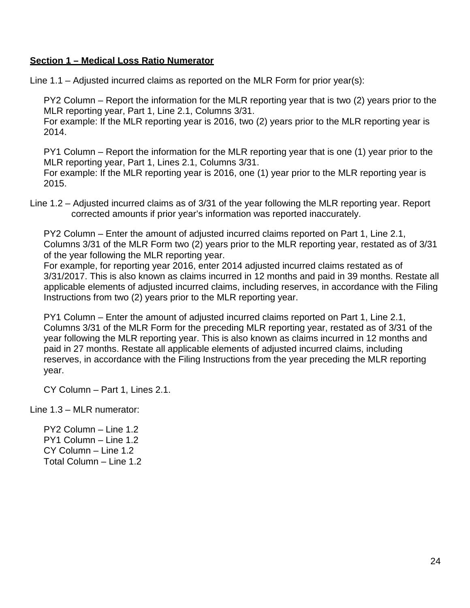#### **Section 1 – Medical Loss Ratio Numerator**

Line 1.1 – Adjusted incurred claims as reported on the MLR Form for prior year(s):

 PY2 Column – Report the information for the MLR reporting year that is two (2) years prior to the MLR reporting year, Part 1, Line 2.1, Columns 3/31.

For example: If the MLR reporting year is 2016, two (2) years prior to the MLR reporting year is 2014.

 PY1 Column – Report the information for the MLR reporting year that is one (1) year prior to the MLR reporting year, Part 1, Lines 2.1, Columns 3/31.

For example: If the MLR reporting year is 2016, one (1) year prior to the MLR reporting year is 2015.

Line 1.2 – Adjusted incurred claims as of 3/31 of the year following the MLR reporting year. Report corrected amounts if prior year's information was reported inaccurately.

 PY2 Column – Enter the amount of adjusted incurred claims reported on Part 1, Line 2.1, Columns 3/31 of the MLR Form two (2) years prior to the MLR reporting year, restated as of 3/31 of the year following the MLR reporting year.

 For example, for reporting year 2016, enter 2014 adjusted incurred claims restated as of applicable elements of adjusted incurred claims, including reserves, in accordance with the Filing 3/31/2017. This is also known as claims incurred in 12 months and paid in 39 months. Restate all Instructions from two (2) years prior to the MLR reporting year.

 PY1 Column – Enter the amount of adjusted incurred claims reported on Part 1, Line 2.1, year following the MLR reporting year. This is also known as claims incurred in 12 months and Columns 3/31 of the MLR Form for the preceding MLR reporting year, restated as of 3/31 of the paid in 27 months. Restate all applicable elements of adjusted incurred claims, including reserves, in accordance with the Filing Instructions from the year preceding the MLR reporting year.

CY Column – Part 1, Lines 2.1.

Line 1.3 – MLR numerator:

 PY2 Column – Line 1.2 PY1 Column – Line 1.2 CY Column – Line 1.2 Total Column – Line 1.2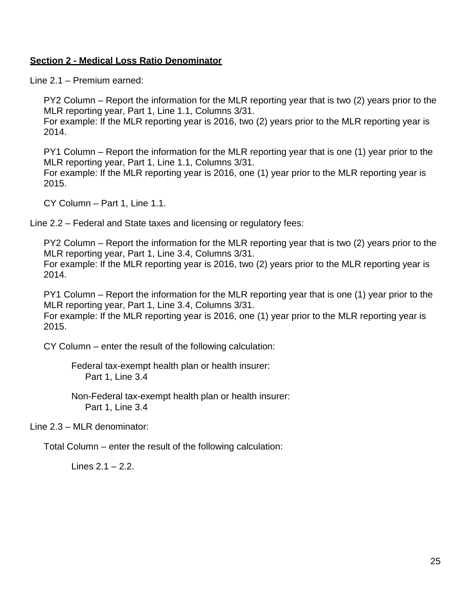#### **Section 2 - Medical Loss Ratio Denominator**

Line 2.1 – Premium earned:

 PY2 Column – Report the information for the MLR reporting year that is two (2) years prior to the MLR reporting year, Part 1, Line 1.1, Columns 3/31.

For example: If the MLR reporting year is 2016, two (2) years prior to the MLR reporting year is 2014.

 PY1 Column – Report the information for the MLR reporting year that is one (1) year prior to the MLR reporting year, Part 1, Line 1.1, Columns 3/31. For example: If the MLR reporting year is 2016, one (1) year prior to the MLR reporting year is 2015.

CY Column – Part 1, Line 1.1.

Line 2.2 – Federal and State taxes and licensing or regulatory fees:

 PY2 Column – Report the information for the MLR reporting year that is two (2) years prior to the MLR reporting year, Part 1, Line 3.4, Columns 3/31.

For example: If the MLR reporting year is 2016, two (2) years prior to the MLR reporting year is 2014.

 PY1 Column – Report the information for the MLR reporting year that is one (1) year prior to the MLR reporting year, Part 1, Line 3.4, Columns 3/31.

For example: If the MLR reporting year is 2016, one (1) year prior to the MLR reporting year is 2015.

CY Column – enter the result of the following calculation:

Federal tax-exempt health plan or health insurer: Part 1, Line 3.4

Non-Federal tax-exempt health plan or health insurer: Part 1, Line 3.4

Line 2.3 – MLR denominator:

Total Column – enter the result of the following calculation:

Lines 2.1 – 2.2.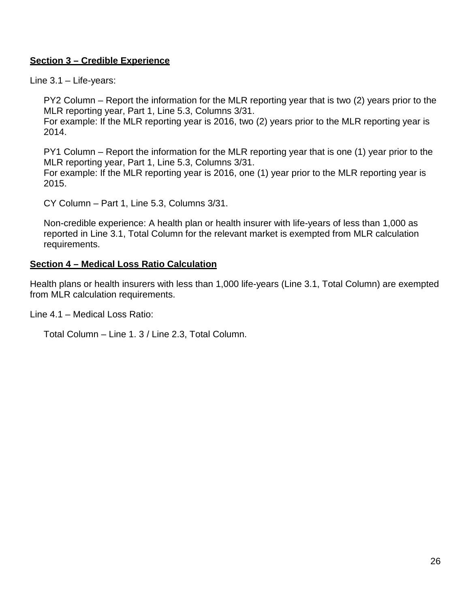# **Section 3 – Credible Experience**

Line 3.1 – Life-years:

 PY2 Column – Report the information for the MLR reporting year that is two (2) years prior to the MLR reporting year, Part 1, Line 5.3, Columns 3/31.

For example: If the MLR reporting year is 2016, two (2) years prior to the MLR reporting year is 2014.

 PY1 Column – Report the information for the MLR reporting year that is one (1) year prior to the MLR reporting year, Part 1, Line 5.3, Columns 3/31. For example: If the MLR reporting year is 2016, one (1) year prior to the MLR reporting year is

2015.

CY Column – Part 1, Line 5.3, Columns 3/31.

Non-credible experience: A health plan or health insurer with life-years of less than 1,000 as reported in Line 3.1, Total Column for the relevant market is exempted from MLR calculation requirements.

#### **Section 4 – Medical Loss Ratio Calculation**

Health plans or health insurers with less than 1,000 life-years (Line 3.1, Total Column) are exempted from MLR calculation requirements.

Line 4.1 – Medical Loss Ratio:

Total Column – Line 1. 3 / Line 2.3, Total Column.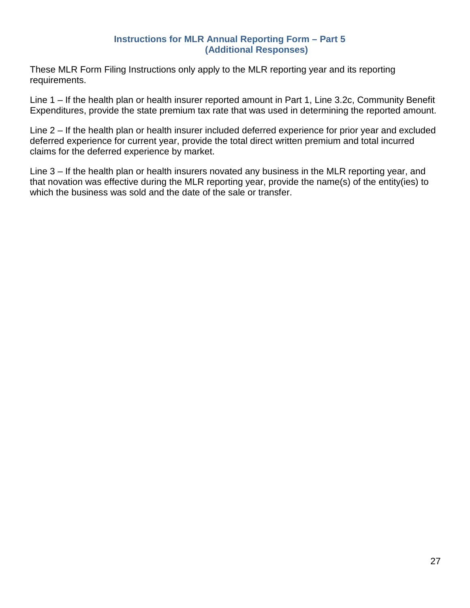#### **Instructions for MLR Annual Reporting Form – Part 5 (Additional Responses)**

These MLR Form Filing Instructions only apply to the MLR reporting year and its reporting requirements.

Line 1 – If the health plan or health insurer reported amount in Part 1, Line 3.2c, Community Benefit Expenditures, provide the state premium tax rate that was used in determining the reported amount.

Line 2 – If the health plan or health insurer included deferred experience for prior year and excluded deferred experience for current year, provide the total direct written premium and total incurred claims for the deferred experience by market.

Line 3 – If the health plan or health insurers novated any business in the MLR reporting year, and that novation was effective during the MLR reporting year, provide the name(s) of the entity(ies) to which the business was sold and the date of the sale or transfer.